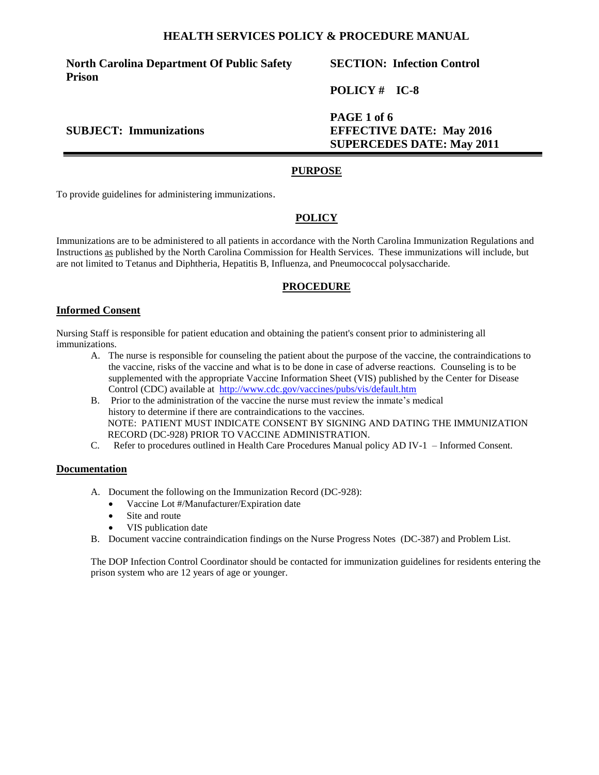**North Carolina Department Of Public Safety Prison**

# **SECTION: Infection Control**

**POLICY # IC-8**

**PAGE 1 of 6 SUBJECT: Immunizations EFFECTIVE DATE: May 2016 SUPERCEDES DATE: May 2011**

#### **PURPOSE**

To provide guidelines for administering immunizations.

## **POLICY**

Immunizations are to be administered to all patients in accordance with the North Carolina Immunization Regulations and Instructions as published by the North Carolina Commission for Health Services. These immunizations will include, but are not limited to Tetanus and Diphtheria, Hepatitis B, Influenza, and Pneumococcal polysaccharide.

#### **PROCEDURE**

#### **Informed Consent**

Nursing Staff is responsible for patient education and obtaining the patient's consent prior to administering all immunizations.

- A. The nurse is responsible for counseling the patient about the purpose of the vaccine, the contraindications to the vaccine, risks of the vaccine and what is to be done in case of adverse reactions. Counseling is to be supplemented with the appropriate Vaccine Information Sheet (VIS) published by the Center for Disease Control (CDC) available at http://www.cdc.gov/vaccines/pubs/vis/default.htm
- B. Prior to the administration of the vaccine the nurse must review the inmate's medical history to determine if there are contraindications to the vaccines. NOTE: PATIENT MUST INDICATE CONSENT BY SIGNING AND DATING THE IMMUNIZATION RECORD (DC-928) PRIOR TO VACCINE ADMINISTRATION.
- C. Refer to procedures outlined in Health Care Procedures Manual policy AD IV-1 Informed Consent.

#### **Documentation**

- A. Document the following on the Immunization Record (DC-928):
	- Vaccine Lot #/Manufacturer/Expiration date
	- Site and route
	- VIS publication date
- B. Document vaccine contraindication findings on the Nurse Progress Notes (DC-387) and Problem List.

The DOP Infection Control Coordinator should be contacted for immunization guidelines for residents entering the prison system who are 12 years of age or younger.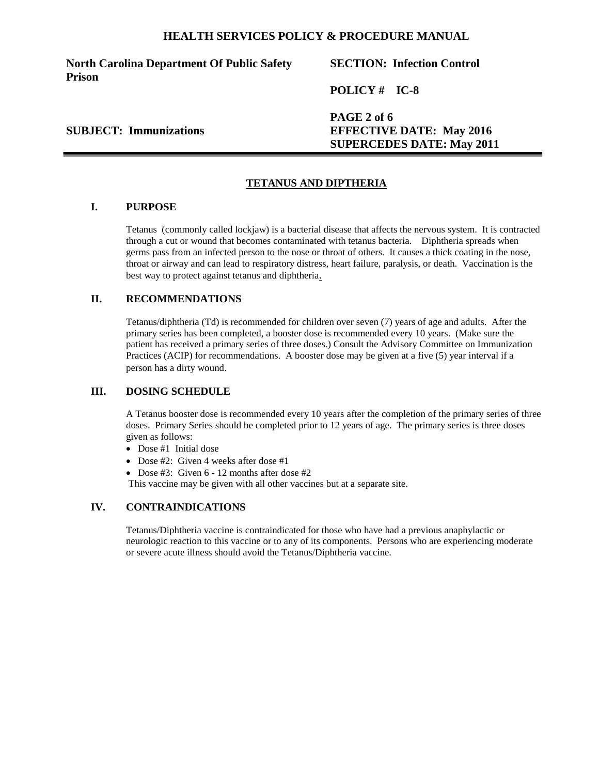**North Carolina Department Of Public Safety Prison**

# **SECTION: Infection Control**

**POLICY # IC-8**

**PAGE 2 of 6 SUBJECT: Immunizations EFFECTIVE DATE: May 2016 SUPERCEDES DATE: May 2011**

# **TETANUS AND DIPTHERIA**

## **I. PURPOSE**

Tetanus (commonly called lockjaw) is a bacterial disease that affects the nervous system. It is contracted through a cut or wound that becomes contaminated with tetanus bacteria. Diphtheria spreads when germs pass from an infected person to the nose or throat of others. It causes a thick coating in the nose, throat or airway and can lead to respiratory distress, heart failure, paralysis, or death. Vaccination is the best way to protect against tetanus and diphtheria.

# **II. RECOMMENDATIONS**

Tetanus/diphtheria (Td) is recommended for children over seven (7) years of age and adults. After the primary series has been completed, a booster dose is recommended every 10 years. (Make sure the patient has received a primary series of three doses.) Consult the Advisory Committee on Immunization Practices (ACIP) for recommendations. A booster dose may be given at a five (5) year interval if a person has a dirty wound.

#### **III. DOSING SCHEDULE**

A Tetanus booster dose is recommended every 10 years after the completion of the primary series of three doses. Primary Series should be completed prior to 12 years of age. The primary series is three doses given as follows:

- Dose #1 Initial dose
- Dose #2: Given 4 weeks after dose #1
- Dose #3: Given 6 12 months after dose #2

This vaccine may be given with all other vaccines but at a separate site.

#### **IV. CONTRAINDICATIONS**

Tetanus/Diphtheria vaccine is contraindicated for those who have had a previous anaphylactic or neurologic reaction to this vaccine or to any of its components. Persons who are experiencing moderate or severe acute illness should avoid the Tetanus/Diphtheria vaccine.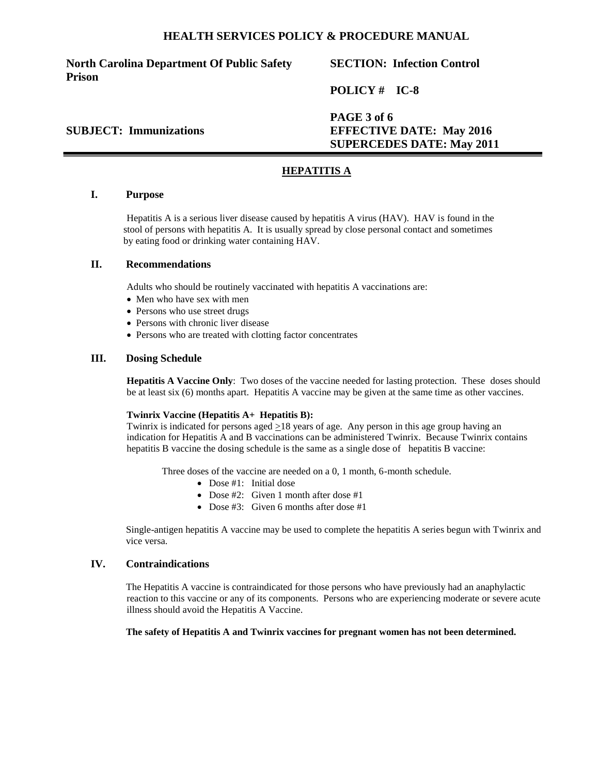**North Carolina Department Of Public Safety Prison**

# **SECTION: Infection Control**

**POLICY # IC-8**

**PAGE 3 of 6 SUBJECT: Immunizations EFFECTIVE DATE: May 2016 SUPERCEDES DATE: May 2011**

## **HEPATITIS A**

## **I. Purpose**

Hepatitis A is a serious liver disease caused by hepatitis A virus (HAV). HAV is found in the stool of persons with hepatitis A. It is usually spread by close personal contact and sometimes by eating food or drinking water containing HAV.

## **II. Recommendations**

Adults who should be routinely vaccinated with hepatitis A vaccinations are:

- Men who have sex with men
- Persons who use street drugs
- Persons with chronic liver disease
- Persons who are treated with clotting factor concentrates

#### **III. Dosing Schedule**

**Hepatitis A Vaccine Only**: Two doses of the vaccine needed for lasting protection. These doses should be at least six (6) months apart. Hepatitis A vaccine may be given at the same time as other vaccines.

#### **Twinrix Vaccine (Hepatitis A+ Hepatitis B):**

Twinrix is indicated for persons aged >18 years of age. Any person in this age group having an indication for Hepatitis A and B vaccinations can be administered Twinrix. Because Twinrix contains hepatitis B vaccine the dosing schedule is the same as a single dose of hepatitis B vaccine:

Three doses of the vaccine are needed on a 0, 1 month, 6-month schedule.

- Dose #1: Initial dose
- Dose #2: Given 1 month after dose #1
- Dose #3: Given 6 months after dose #1

Single-antigen hepatitis A vaccine may be used to complete the hepatitis A series begun with Twinrix and vice versa.

#### **IV. Contraindications**

The Hepatitis A vaccine is contraindicated for those persons who have previously had an anaphylactic reaction to this vaccine or any of its components. Persons who are experiencing moderate or severe acute illness should avoid the Hepatitis A Vaccine.

#### **The safety of Hepatitis A and Twinrix vaccines for pregnant women has not been determined.**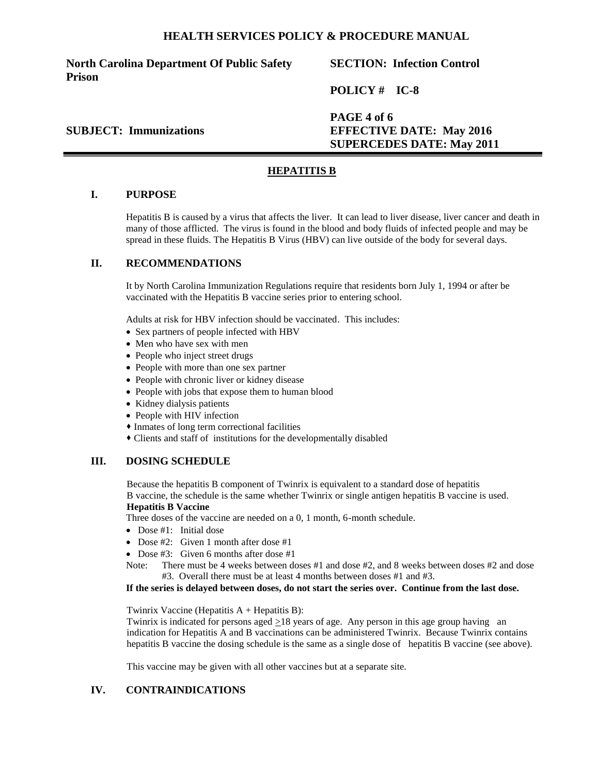**North Carolina Department Of Public Safety Prison**

# **SECTION: Infection Control**

**POLICY # IC-8**

**PAGE 4 of 6 SUBJECT: Immunizations EFFECTIVE DATE: May 2016 SUPERCEDES DATE: May 2011**

## **HEPATITIS B**

### **I. PURPOSE**

Hepatitis B is caused by a virus that affects the liver. It can lead to liver disease, liver cancer and death in many of those afflicted. The virus is found in the blood and body fluids of infected people and may be spread in these fluids. The Hepatitis B Virus (HBV) can live outside of the body for several days.

#### **II. RECOMMENDATIONS**

It by North Carolina Immunization Regulations require that residents born July 1, 1994 or after be vaccinated with the Hepatitis B vaccine series prior to entering school.

Adults at risk for HBV infection should be vaccinated. This includes:

- Sex partners of people infected with HBV
- Men who have sex with men
- People who inject street drugs
- People with more than one sex partner
- People with chronic liver or kidney disease
- People with jobs that expose them to human blood
- Kidney dialysis patients
- People with HIV infection
- Inmates of long term correctional facilities
- Clients and staff of institutions for the developmentally disabled

#### **III. DOSING SCHEDULE**

Because the hepatitis B component of Twinrix is equivalent to a standard dose of hepatitis B vaccine, the schedule is the same whether Twinrix or single antigen hepatitis B vaccine is used.

# **Hepatitis B Vaccine**

Three doses of the vaccine are needed on a 0, 1 month, 6-month schedule.

- Dose #1: Initial dose
- Dose  $\#2$ : Given 1 month after dose  $\#1$
- Dose  $#3$ : Given 6 months after dose  $#1$
- Note: There must be 4 weeks between doses #1 and dose #2, and 8 weeks between doses #2 and dose #3. Overall there must be at least 4 months between doses #1 and #3.

#### **If the series is delayed between doses, do not start the series over. Continue from the last dose.**

Twinrix Vaccine (Hepatitis  $A + H$ epatitis B):

Twinrix is indicated for persons aged  $\geq$ 18 years of age. Any person in this age group having an indication for Hepatitis A and B vaccinations can be administered Twinrix. Because Twinrix contains hepatitis B vaccine the dosing schedule is the same as a single dose of hepatitis B vaccine (see above).

This vaccine may be given with all other vaccines but at a separate site.

### **IV. CONTRAINDICATIONS**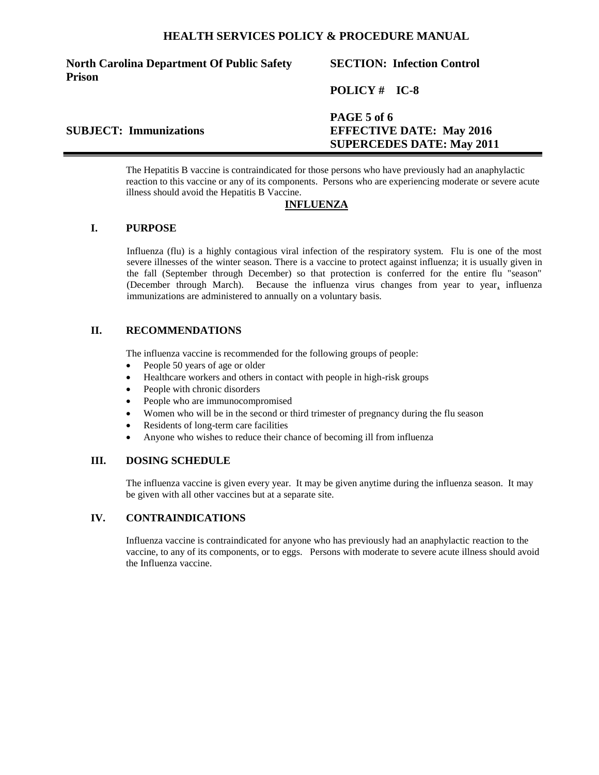# **North Carolina Department Of Public Safety Prison**

# **SECTION: Infection Control**

# **POLICY # IC-8**

# **PAGE 5 of 6 SUBJECT: Immunizations EFFECTIVE DATE: May 2016 SUPERCEDES DATE: May 2011**

The Hepatitis B vaccine is contraindicated for those persons who have previously had an anaphylactic reaction to this vaccine or any of its components. Persons who are experiencing moderate or severe acute illness should avoid the Hepatitis B Vaccine.

# **INFLUENZA**

## **I. PURPOSE**

Influenza (flu) is a highly contagious viral infection of the respiratory system. Flu is one of the most severe illnesses of the winter season. There is a vaccine to protect against influenza; it is usually given in the fall (September through December) so that protection is conferred for the entire flu "season" (December through March). Because the influenza virus changes from year to year, influenza immunizations are administered to annually on a voluntary basis.

# **II. RECOMMENDATIONS**

The influenza vaccine is recommended for the following groups of people:

- People 50 years of age or older
- Healthcare workers and others in contact with people in high-risk groups
- People with chronic disorders
- People who are immunocompromised
- Women who will be in the second or third trimester of pregnancy during the flu season
- Residents of long-term care facilities
- Anyone who wishes to reduce their chance of becoming ill from influenza

# **III. DOSING SCHEDULE**

The influenza vaccine is given every year. It may be given anytime during the influenza season. It may be given with all other vaccines but at a separate site.

# **IV. CONTRAINDICATIONS**

Influenza vaccine is contraindicated for anyone who has previously had an anaphylactic reaction to the vaccine, to any of its components, or to eggs. Persons with moderate to severe acute illness should avoid the Influenza vaccine.